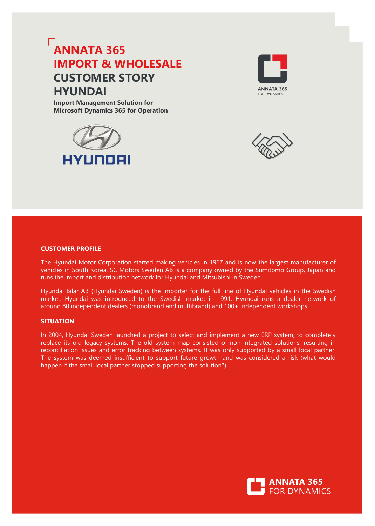# **ANNATA 365 IMPORT & WHOLESALE CUSTOMER STORY HYUNDAI**

**Import Management Solution for Microsoft Dynamics 365 for Operation**







# **CUSTOMER PROFILE**

The Hyundai Motor Corporation started making vehicles in 1967 and is now the largest manufacturer of vehicles in South Korea. SC Motors Sweden AB is a company owned by the Sumitomo Group, Japan and runs the import and distribution network for Hyundai and Mitsubishi in Sweden.

Hyundai Bilar AB (Hyundai Sweden) is the importer for the full line of Hyundai vehicles in the Swedish market. Hyundai was introduced to the Swedish market in 1991. Hyundai runs a dealer network of around 80 independent dealers (monobrand and multibrand) and 100+ independent workshops.

# **SITUATION**

In 2004, Hyundai Sweden launched a project to select and implement a new ERP system, to completely replace its old legacy systems. The old system map consisted of non-integrated solutions, resulting in reconciliation issues and error tracking between systems. It was only supported by a small local partner. The system was deemed insufficient to support future growth and was considered a risk (what would happen if the small local partner stopped supporting the solution?).

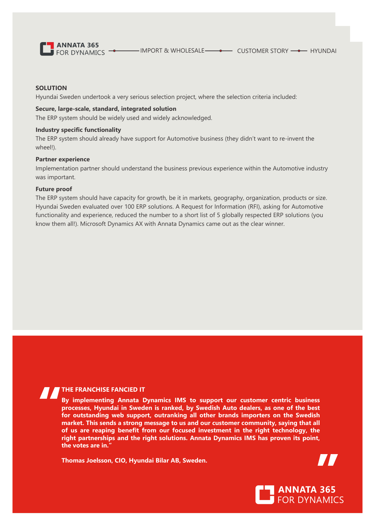

# **SOLUTION**

Hyundai Sweden undertook a very serious selection project, where the selection criteria included:

# **Secure, large-scale, standard, integrated solution**

The ERP system should be widely used and widely acknowledged.

# **Industry specific functionality**

The ERP system should already have support for Automotive business (they didn't want to re-invent the wheel!).

#### **Partner experience**

Implementation partner should understand the business previous experience within the Automotive industry was important.

## **Future proof**

The ERP system should have capacity for growth, be it in markets, geography, organization, products or size. Hyundai Sweden evaluated over 100 ERP solutions. A Request for Information (RFI), asking for Automotive functionality and experience, reduced the number to a short list of 5 globally respected ERP solutions (you know them all!). Microsoft Dynamics AX with Annata Dynamics came out as the clear winner.

# **THE FRANCHISE FANCIED IT**

**By implementing Annata Dynamics IMS to support our customer centric business processes, Hyundai in Sweden is ranked, by Swedish Auto dealers, as one of the best for outstanding web support, outranking all other brands importers on the Swedish market. This sends a strong message to us and our customer community, saying that all of us are reaping benefit from our focused investment in the right technology, the right partnerships and the right solutions. Annata Dynamics IMS has proven its point, the votes are in."**

**Thomas Joelsson, CIO, Hyundai Bilar AB, Sweden.**



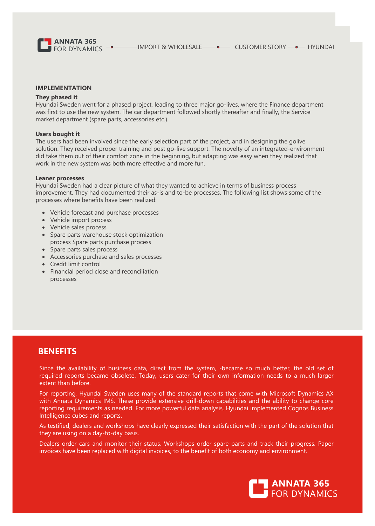

#### **IMPLEMENTATION**

#### **They phased it**

Hyundai Sweden went for a phased project, leading to three major go-lives, where the Finance department was first to use the new system. The car department followed shortly thereafter and finally, the Service market department (spare parts, accessories etc.).

#### **Users bought it**

The users had been involved since the early selection part of the project, and in designing the golive solution. They received proper training and post go-live support. The novelty of an integrated-environment did take them out of their comfort zone in the beginning, but adapting was easy when they realized that work in the new system was both more effective and more fun.

#### **Leaner processes**

Hyundai Sweden had a clear picture of what they wanted to achieve in terms of business process improvement. They had documented their as-is and to-be processes. The following list shows some of the processes where benefits have been realized:

- Vehicle forecast and purchase processes
- Vehicle import process
- Vehicle sales process
- Spare parts warehouse stock optimization process Spare parts purchase process
- Spare parts sales process
- Accessories purchase and sales processes
- Credit limit control
- Financial period close and reconciliation processes

# **BENEFITS**

Since the availability of business data, direct from the system, -became so much better, the old set of required reports became obsolete. Today, users cater for their own information needs to a much larger extent than before.

For reporting, Hyundai Sweden uses many of the standard reports that come with Microsoft Dynamics AX with Annata Dynamics IMS. These provide extensive drill-down capabilities and the ability to change core reporting requirements as needed. For more powerful data analysis, Hyundai implemented Cognos Business Intelligence cubes and reports.

As testified, dealers and workshops have clearly expressed their satisfaction with the part of the solution that they are using on a day-to-day basis.

Dealers order cars and monitor their status. Workshops order spare parts and track their progress. Paper invoices have been replaced with digital invoices, to the benefit of both economy and environment.